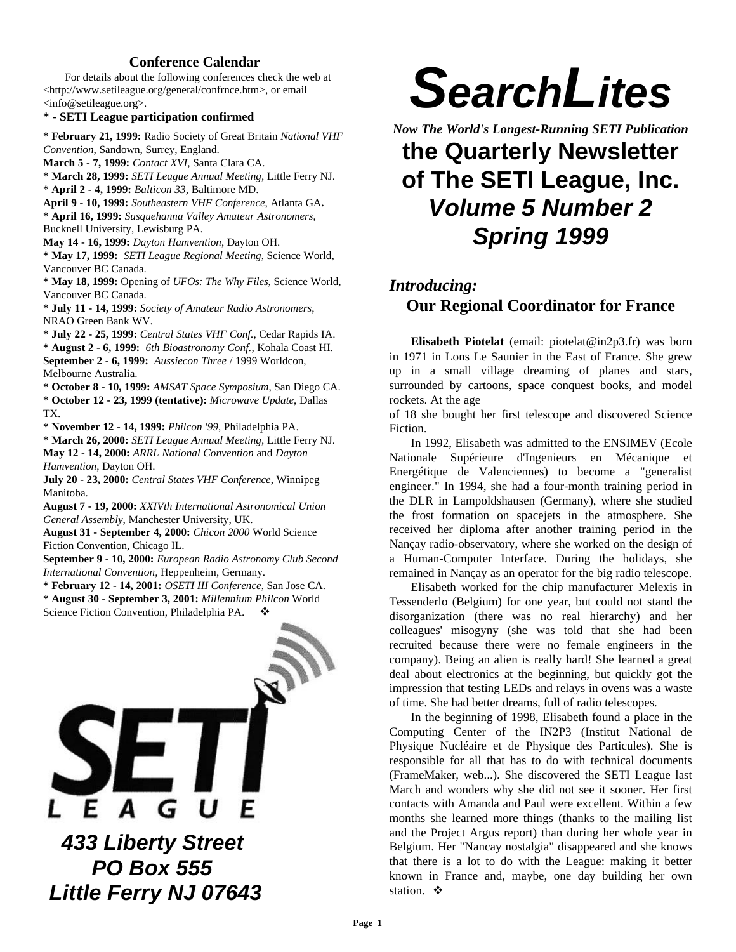#### **Conference Calendar**

For details about the following conferences check the web at <http://www.setileague.org/general/confrnce.htm>, or email <info@setileague.org>.

#### **\* - SETI League participation confirmed**

**\* February 21, 1999:** Radio Society of Great Britain *National VHF Convention*, Sandown, Surrey, England.

**March 5 - 7, 1999:** *Contact XVI*, Santa Clara CA.

**\* March 28, 1999:** *SETI League Annual Meeting,* Little Ferry NJ. **\* April 2 - 4, 1999:** *Balticon 33,* Baltimore MD.

**April 9 - 10, 1999:** *Southeastern VHF Conference*, Atlanta GA**. \* April 16, 1999:** *Susquehanna Valley Amateur Astronomers*,

Bucknell University, Lewisburg PA.

**May 14 - 16, 1999:** *Dayton Hamvention*, Dayton OH.

**\* May 17, 1999:** *SETI League Regional Meeting*, Science World, Vancouver BC Canada.

**\* May 18, 1999:** Opening of *UFOs: The Why Files*, Science World, Vancouver BC Canada.

**\* July 11 - 14, 1999:** *Society of Amateur Radio Astronomers*, NRAO Green Bank WV.

**\* July 22 - 25, 1999:** *Central States VHF Conf.*, Cedar Rapids IA. **\* August 2 - 6, 1999:** *6th Bioastronomy Conf.,* Kohala Coast HI. **September 2 - 6, 1999:** *Aussiecon Three* / 1999 Worldcon, Melbourne Australia.

**\* October 8 - 10, 1999:** *AMSAT Space Symposium*, San Diego CA. **\* October 12 - 23, 1999 (tentative):** *Microwave Update*, Dallas TX.

**\* November 12 - 14, 1999:** *Philcon '99*, Philadelphia PA.

**\* March 26, 2000:** *SETI League Annual Meeting,* Little Ferry NJ. **May 12 - 14, 2000:** *ARRL National Convention* and *Dayton Hamvention*, Dayton OH.

**July 20 - 23, 2000:** *Central States VHF Conference*, Winnipeg Manitoba.

**August 7 - 19, 2000:** *XXIVth International Astronomical Union General Assembly*, Manchester University, UK.

**August 31 - September 4, 2000:** *Chicon 2000* World Science Fiction Convention, Chicago IL.

**September 9 - 10, 2000:** *European Radio Astronomy Club Second International Convention,* Heppenheim, Germany.

**\* February 12 - 14, 2001:** *OSETI III Conference*, San Jose CA.

**\* August 30 - September 3, 2001:** *Millennium Philcon* World Science Fiction Convention, Philadelphia PA.



 *PO Box 555 Little Ferry NJ 07643*

# *SearchLites*

*Now The World's Longest-Running SETI Publication* **the Quarterly Newsletter of The SETI League, Inc.** *Volume 5 Number 2 Spring 1999*

#### *Introducing:* **Our Regional Coordinator for France**

**Elisabeth Piotelat** (email: piotelat@in2p3.fr) was born in 1971 in Lons Le Saunier in the East of France. She grew up in a small village dreaming of planes and stars, surrounded by cartoons, space conquest books, and model rockets. At the age

of 18 she bought her first telescope and discovered Science Fiction.

In 1992, Elisabeth was admitted to the ENSIMEV (Ecole Nationale Supérieure d'Ingenieurs en Mécanique et Energétique de Valenciennes) to become a "generalist engineer." In 1994, she had a four-month training period in the DLR in Lampoldshausen (Germany), where she studied the frost formation on spacejets in the atmosphere. She received her diploma after another training period in the Nançay radio-observatory, where she worked on the design of a Human-Computer Interface. During the holidays, she remained in Nançay as an operator for the big radio telescope.

Elisabeth worked for the chip manufacturer Melexis in Tessenderlo (Belgium) for one year, but could not stand the disorganization (there was no real hierarchy) and her colleagues' misogyny (she was told that she had been recruited because there were no female engineers in the company). Being an alien is really hard! She learned a great deal about electronics at the beginning, but quickly got the impression that testing LEDs and relays in ovens was a waste of time. She had better dreams, full of radio telescopes.

In the beginning of 1998, Elisabeth found a place in the Computing Center of the IN2P3 (Institut National de Physique Nucléaire et de Physique des Particules). She is responsible for all that has to do with technical documents (FrameMaker, web...). She discovered the SETI League last March and wonders why she did not see it sooner. Her first contacts with Amanda and Paul were excellent. Within a few months she learned more things (thanks to the mailing list and the Project Argus report) than during her whole year in Belgium. Her "Nancay nostalgia" disappeared and she knows that there is a lot to do with the League: making it better known in France and, maybe, one day building her own station.  $\mathbf{\hat{v}}$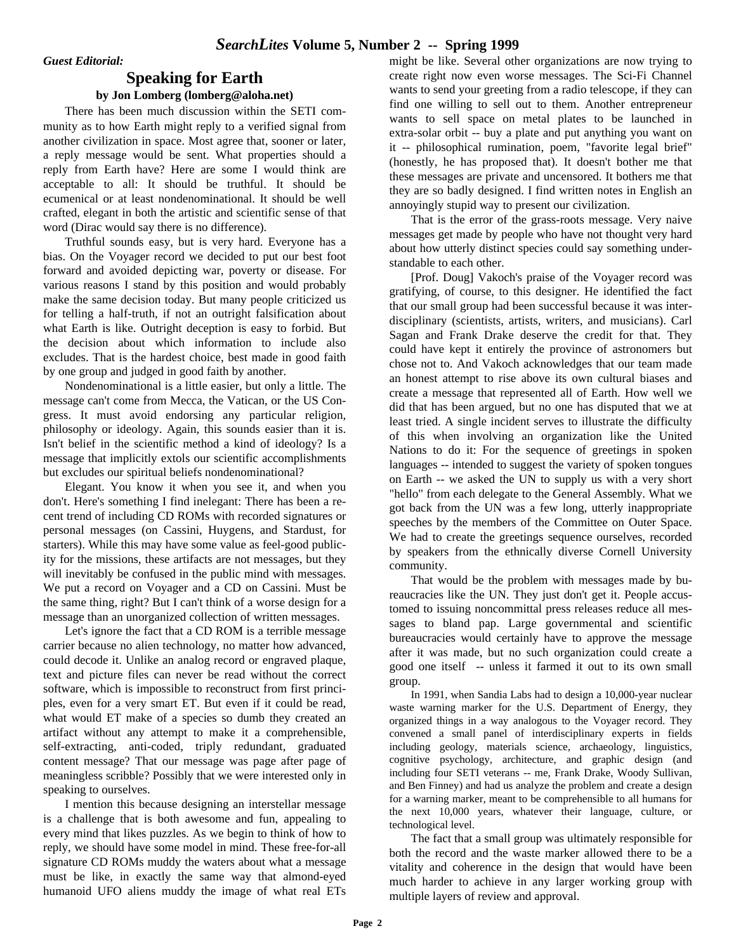#### **Speaking for Earth by Jon Lomberg (lomberg@aloha.net)**

There has been much discussion within the SETI community as to how Earth might reply to a verified signal from another civilization in space. Most agree that, sooner or later, a reply message would be sent. What properties should a reply from Earth have? Here are some I would think are acceptable to all: It should be truthful. It should be ecumenical or at least nondenominational. It should be well crafted, elegant in both the artistic and scientific sense of that word (Dirac would say there is no difference).

Truthful sounds easy, but is very hard. Everyone has a bias. On the Voyager record we decided to put our best foot forward and avoided depicting war, poverty or disease. For various reasons I stand by this position and would probably make the same decision today. But many people criticized us for telling a half-truth, if not an outright falsification about what Earth is like. Outright deception is easy to forbid. But the decision about which information to include also excludes. That is the hardest choice, best made in good faith by one group and judged in good faith by another.

Nondenominational is a little easier, but only a little. The message can't come from Mecca, the Vatican, or the US Congress. It must avoid endorsing any particular religion, philosophy or ideology. Again, this sounds easier than it is. Isn't belief in the scientific method a kind of ideology? Is a message that implicitly extols our scientific accomplishments but excludes our spiritual beliefs nondenominational?

Elegant. You know it when you see it, and when you don't. Here's something I find inelegant: There has been a recent trend of including CD ROMs with recorded signatures or personal messages (on Cassini, Huygens, and Stardust, for starters). While this may have some value as feel-good publicity for the missions, these artifacts are not messages, but they will inevitably be confused in the public mind with messages. We put a record on Voyager and a CD on Cassini. Must be the same thing, right? But I can't think of a worse design for a message than an unorganized collection of written messages.

Let's ignore the fact that a CD ROM is a terrible message carrier because no alien technology, no matter how advanced, could decode it. Unlike an analog record or engraved plaque, text and picture files can never be read without the correct software, which is impossible to reconstruct from first principles, even for a very smart ET. But even if it could be read, what would ET make of a species so dumb they created an artifact without any attempt to make it a comprehensible, self-extracting, anti-coded, triply redundant, graduated content message? That our message was page after page of meaningless scribble? Possibly that we were interested only in speaking to ourselves.

I mention this because designing an interstellar message is a challenge that is both awesome and fun, appealing to every mind that likes puzzles. As we begin to think of how to reply, we should have some model in mind. These free-for-all signature CD ROMs muddy the waters about what a message must be like, in exactly the same way that almond-eyed humanoid UFO aliens muddy the image of what real ETs might be like. Several other organizations are now trying to create right now even worse messages. The Sci-Fi Channel wants to send your greeting from a radio telescope, if they can find one willing to sell out to them. Another entrepreneur wants to sell space on metal plates to be launched in extra-solar orbit -- buy a plate and put anything you want on it -- philosophical rumination, poem, "favorite legal brief" (honestly, he has proposed that). It doesn't bother me that these messages are private and uncensored. It bothers me that they are so badly designed. I find written notes in English an annoyingly stupid way to present our civilization.

That is the error of the grass-roots message. Very naive messages get made by people who have not thought very hard about how utterly distinct species could say something understandable to each other.

[Prof. Doug] Vakoch's praise of the Voyager record was gratifying, of course, to this designer. He identified the fact that our small group had been successful because it was interdisciplinary (scientists, artists, writers, and musicians). Carl Sagan and Frank Drake deserve the credit for that. They could have kept it entirely the province of astronomers but chose not to. And Vakoch acknowledges that our team made an honest attempt to rise above its own cultural biases and create a message that represented all of Earth. How well we did that has been argued, but no one has disputed that we at least tried. A single incident serves to illustrate the difficulty of this when involving an organization like the United Nations to do it: For the sequence of greetings in spoken languages -- intended to suggest the variety of spoken tongues on Earth -- we asked the UN to supply us with a very short "hello" from each delegate to the General Assembly. What we got back from the UN was a few long, utterly inappropriate speeches by the members of the Committee on Outer Space. We had to create the greetings sequence ourselves, recorded by speakers from the ethnically diverse Cornell University community.

That would be the problem with messages made by bureaucracies like the UN. They just don't get it. People accustomed to issuing noncommittal press releases reduce all messages to bland pap. Large governmental and scientific bureaucracies would certainly have to approve the message after it was made, but no such organization could create a good one itself -- unless it farmed it out to its own small group.

In 1991, when Sandia Labs had to design a 10,000-year nuclear waste warning marker for the U.S. Department of Energy, they organized things in a way analogous to the Voyager record. They convened a small panel of interdisciplinary experts in fields including geology, materials science, archaeology, linguistics, cognitive psychology, architecture, and graphic design (and including four SETI veterans -- me, Frank Drake, Woody Sullivan, and Ben Finney) and had us analyze the problem and create a design for a warning marker, meant to be comprehensible to all humans for the next 10,000 years, whatever their language, culture, or technological level.

The fact that a small group was ultimately responsible for both the record and the waste marker allowed there to be a vitality and coherence in the design that would have been much harder to achieve in any larger working group with multiple layers of review and approval.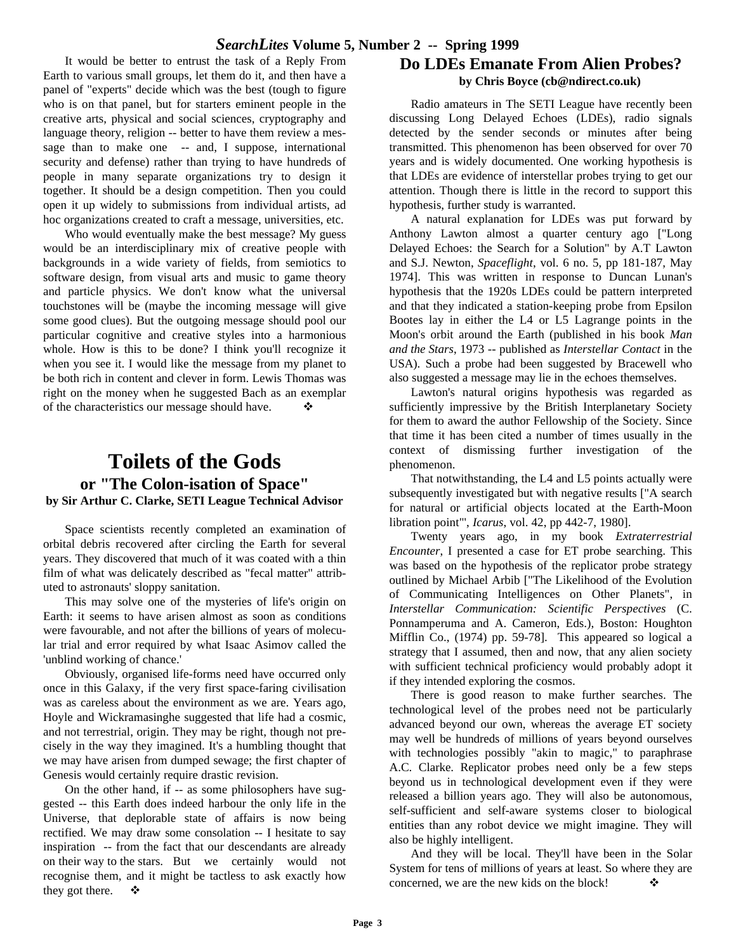It would be better to entrust the task of a Reply From Earth to various small groups, let them do it, and then have a panel of "experts" decide which was the best (tough to figure who is on that panel, but for starters eminent people in the creative arts, physical and social sciences, cryptography and language theory, religion -- better to have them review a message than to make one -- and, I suppose, international security and defense) rather than trying to have hundreds of people in many separate organizations try to design it together. It should be a design competition. Then you could open it up widely to submissions from individual artists, ad hoc organizations created to craft a message, universities, etc.

Who would eventually make the best message? My guess would be an interdisciplinary mix of creative people with backgrounds in a wide variety of fields, from semiotics to software design, from visual arts and music to game theory and particle physics. We don't know what the universal touchstones will be (maybe the incoming message will give some good clues). But the outgoing message should pool our particular cognitive and creative styles into a harmonious whole. How is this to be done? I think you'll recognize it when you see it. I would like the message from my planet to be both rich in content and clever in form. Lewis Thomas was right on the money when he suggested Bach as an exemplar of the characteristics our message should have.  $\bullet$ 

#### **Toilets of the Gods or "The Colon-isation of Space" by Sir Arthur C. Clarke, SETI League Technical Advisor**

Space scientists recently completed an examination of orbital debris recovered after circling the Earth for several years. They discovered that much of it was coated with a thin film of what was delicately described as "fecal matter" attributed to astronauts' sloppy sanitation.

This may solve one of the mysteries of life's origin on Earth: it seems to have arisen almost as soon as conditions were favourable, and not after the billions of years of molecular trial and error required by what Isaac Asimov called the 'unblind working of chance.'

Obviously, organised life-forms need have occurred only once in this Galaxy, if the very first space-faring civilisation was as careless about the environment as we are. Years ago, Hoyle and Wickramasinghe suggested that life had a cosmic, and not terrestrial, origin. They may be right, though not precisely in the way they imagined. It's a humbling thought that we may have arisen from dumped sewage; the first chapter of Genesis would certainly require drastic revision.

On the other hand, if -- as some philosophers have suggested -- this Earth does indeed harbour the only life in the Universe, that deplorable state of affairs is now being rectified. We may draw some consolation -- I hesitate to say inspiration -- from the fact that our descendants are already on their way to the stars. But we certainly would not recognise them, and it might be tactless to ask exactly how they got there.  $\bullet$ 

#### **Do LDEs Emanate From Alien Probes? by Chris Boyce (cb@ndirect.co.uk)**

Radio amateurs in The SETI League have recently been discussing Long Delayed Echoes (LDEs), radio signals detected by the sender seconds or minutes after being transmitted. This phenomenon has been observed for over 70 years and is widely documented. One working hypothesis is that LDEs are evidence of interstellar probes trying to get our attention. Though there is little in the record to support this hypothesis, further study is warranted.

A natural explanation for LDEs was put forward by Anthony Lawton almost a quarter century ago ["Long Delayed Echoes: the Search for a Solution" by A.T Lawton and S.J. Newton, *Spaceflight*, vol. 6 no. 5, pp 181-187, May 1974]. This was written in response to Duncan Lunan's hypothesis that the 1920s LDEs could be pattern interpreted and that they indicated a station-keeping probe from Epsilon Bootes lay in either the L4 or L5 Lagrange points in the Moon's orbit around the Earth (published in his book *Man and the Stars*, 1973 -- published as *Interstellar Contact* in the USA). Such a probe had been suggested by Bracewell who also suggested a message may lie in the echoes themselves.

Lawton's natural origins hypothesis was regarded as sufficiently impressive by the British Interplanetary Society for them to award the author Fellowship of the Society. Since that time it has been cited a number of times usually in the context of dismissing further investigation of the phenomenon.

That notwithstanding, the L4 and L5 points actually were subsequently investigated but with negative results ["A search for natural or artificial objects located at the Earth-Moon libration point"', *Icarus*, vol. 42, pp 442-7, 1980].

Twenty years ago, in my book *Extraterrestrial Encounter*, I presented a case for ET probe searching. This was based on the hypothesis of the replicator probe strategy outlined by Michael Arbib ["The Likelihood of the Evolution of Communicating Intelligences on Other Planets", in *Interstellar Communication: Scientific Perspectives* (C. Ponnamperuma and A. Cameron, Eds.), Boston: Houghton Mifflin Co., (1974) pp. 59-78]. This appeared so logical a strategy that I assumed, then and now, that any alien society with sufficient technical proficiency would probably adopt it if they intended exploring the cosmos.

There is good reason to make further searches. The technological level of the probes need not be particularly advanced beyond our own, whereas the average ET society may well be hundreds of millions of years beyond ourselves with technologies possibly "akin to magic," to paraphrase A.C. Clarke. Replicator probes need only be a few steps beyond us in technological development even if they were released a billion years ago. They will also be autonomous, self-sufficient and self-aware systems closer to biological entities than any robot device we might imagine. They will also be highly intelligent.

And they will be local. They'll have been in the Solar System for tens of millions of years at least. So where they are concerned, we are the new kids on the block!  $\bullet$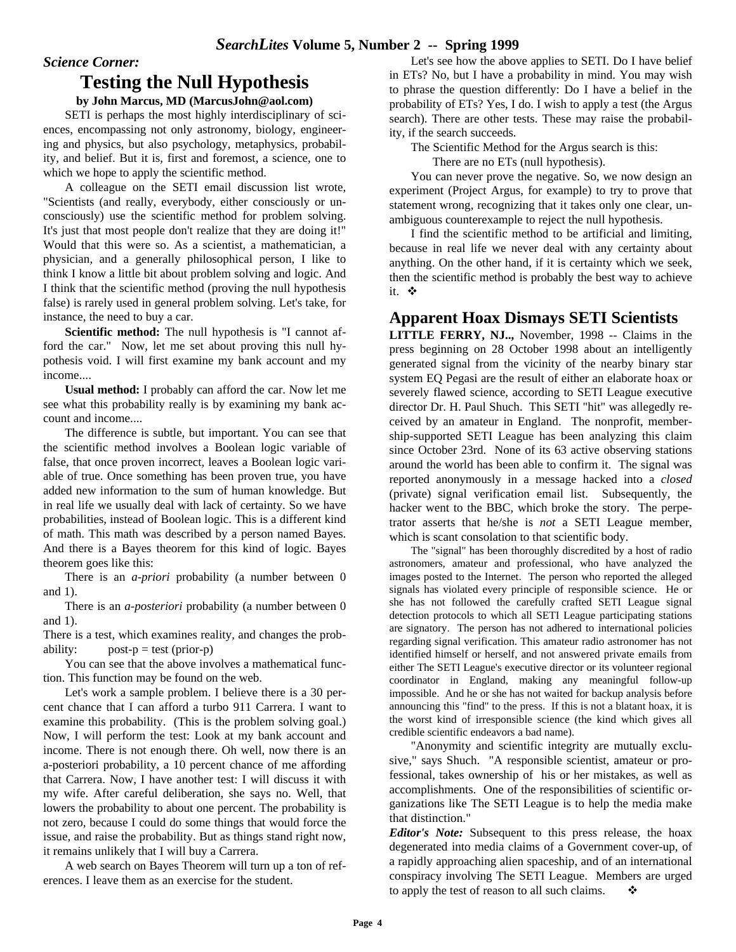#### *Science Corner:*

#### **Testing the Null Hypothesis**

#### **by John Marcus, MD (MarcusJohn@aol.com)**

SETI is perhaps the most highly interdisciplinary of sciences, encompassing not only astronomy, biology, engineering and physics, but also psychology, metaphysics, probability, and belief. But it is, first and foremost, a science, one to which we hope to apply the scientific method.

A colleague on the SETI email discussion list wrote, "Scientists (and really, everybody, either consciously or unconsciously) use the scientific method for problem solving. It's just that most people don't realize that they are doing it!" Would that this were so. As a scientist, a mathematician, a physician, and a generally philosophical person, I like to think I know a little bit about problem solving and logic. And I think that the scientific method (proving the null hypothesis false) is rarely used in general problem solving. Let's take, for instance, the need to buy a car.

**Scientific method:** The null hypothesis is "I cannot afford the car." Now, let me set about proving this null hypothesis void. I will first examine my bank account and my income....

**Usual method:** I probably can afford the car. Now let me see what this probability really is by examining my bank account and income....

The difference is subtle, but important. You can see that the scientific method involves a Boolean logic variable of false, that once proven incorrect, leaves a Boolean logic variable of true. Once something has been proven true, you have added new information to the sum of human knowledge. But in real life we usually deal with lack of certainty. So we have probabilities, instead of Boolean logic. This is a different kind of math. This math was described by a person named Bayes. And there is a Bayes theorem for this kind of logic. Bayes theorem goes like this:

There is an *a-priori* probability (a number between 0 and 1).

There is an *a-posteriori* probability (a number between 0 and 1).

There is a test, which examines reality, and changes the probability:  $post-p = test (prior-p)$ 

You can see that the above involves a mathematical function. This function may be found on the web.

Let's work a sample problem. I believe there is a 30 percent chance that I can afford a turbo 911 Carrera. I want to examine this probability. (This is the problem solving goal.) Now, I will perform the test: Look at my bank account and income. There is not enough there. Oh well, now there is an a-posteriori probability, a 10 percent chance of me affording that Carrera. Now, I have another test: I will discuss it with my wife. After careful deliberation, she says no. Well, that lowers the probability to about one percent. The probability is not zero, because I could do some things that would force the issue, and raise the probability. But as things stand right now, it remains unlikely that I will buy a Carrera.

A web search on Bayes Theorem will turn up a ton of references. I leave them as an exercise for the student.

Let's see how the above applies to SETI. Do I have belief in ETs? No, but I have a probability in mind. You may wish to phrase the question differently: Do I have a belief in the probability of ETs? Yes, I do. I wish to apply a test (the Argus search). There are other tests. These may raise the probability, if the search succeeds.

The Scientific Method for the Argus search is this:

There are no ETs (null hypothesis).

You can never prove the negative. So, we now design an experiment (Project Argus, for example) to try to prove that statement wrong, recognizing that it takes only one clear, unambiguous counterexample to reject the null hypothesis.

I find the scientific method to be artificial and limiting, because in real life we never deal with any certainty about anything. On the other hand, if it is certainty which we seek, then the scientific method is probably the best way to achieve it. ※

#### **Apparent Hoax Dismays SETI Scientists**

**LITTLE FERRY, NJ..,** November, 1998 -- Claims in the press beginning on 28 October 1998 about an intelligently generated signal from the vicinity of the nearby binary star system EQ Pegasi are the result of either an elaborate hoax or severely flawed science, according to SETI League executive director Dr. H. Paul Shuch. This SETI "hit" was allegedly received by an amateur in England. The nonprofit, membership-supported SETI League has been analyzing this claim since October 23rd. None of its 63 active observing stations around the world has been able to confirm it. The signal was reported anonymously in a message hacked into a *closed* (private) signal verification email list. Subsequently, the hacker went to the BBC, which broke the story. The perpetrator asserts that he/she is *not* a SETI League member, which is scant consolation to that scientific body.

The "signal" has been thoroughly discredited by a host of radio astronomers, amateur and professional, who have analyzed the images posted to the Internet. The person who reported the alleged signals has violated every principle of responsible science. He or she has not followed the carefully crafted SETI League signal detection protocols to which all SETI League participating stations are signatory. The person has not adhered to international policies regarding signal verification. This amateur radio astronomer has not identified himself or herself, and not answered private emails from either The SETI League's executive director or its volunteer regional coordinator in England, making any meaningful follow-up impossible. And he or she has not waited for backup analysis before announcing this "find" to the press. If this is not a blatant hoax, it is the worst kind of irresponsible science (the kind which gives all credible scientific endeavors a bad name).

"Anonymity and scientific integrity are mutually exclusive," says Shuch. "A responsible scientist, amateur or professional, takes ownership of his or her mistakes, as well as accomplishments. One of the responsibilities of scientific organizations like The SETI League is to help the media make that distinction."

*Editor's Note:* Subsequent to this press release, the hoax degenerated into media claims of a Government cover-up, of a rapidly approaching alien spaceship, and of an international conspiracy involving The SETI League. Members are urged to apply the test of reason to all such claims.  $\bullet$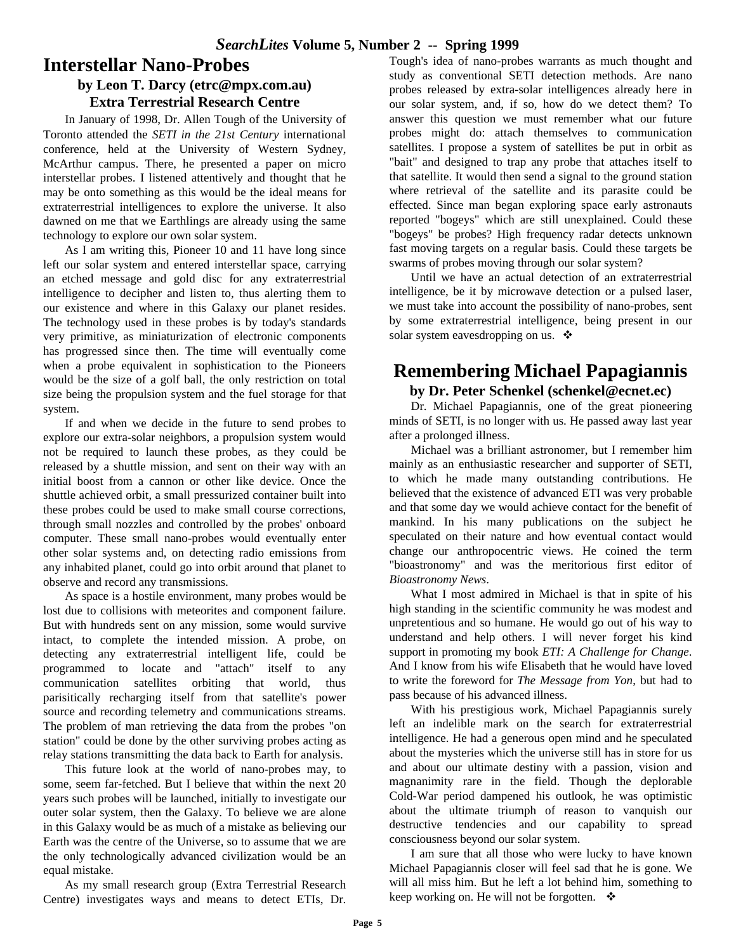### **Interstellar Nano-Probes**

#### **by Leon T. Darcy (etrc@mpx.com.au) Extra Terrestrial Research Centre**

In January of 1998, Dr. Allen Tough of the University of Toronto attended the *SETI in the 21st Century* international conference, held at the University of Western Sydney, McArthur campus. There, he presented a paper on micro interstellar probes. I listened attentively and thought that he may be onto something as this would be the ideal means for extraterrestrial intelligences to explore the universe. It also dawned on me that we Earthlings are already using the same technology to explore our own solar system.

As I am writing this, Pioneer 10 and 11 have long since left our solar system and entered interstellar space, carrying an etched message and gold disc for any extraterrestrial intelligence to decipher and listen to, thus alerting them to our existence and where in this Galaxy our planet resides. The technology used in these probes is by today's standards very primitive, as miniaturization of electronic components has progressed since then. The time will eventually come when a probe equivalent in sophistication to the Pioneers would be the size of a golf ball, the only restriction on total size being the propulsion system and the fuel storage for that system.

If and when we decide in the future to send probes to explore our extra-solar neighbors, a propulsion system would not be required to launch these probes, as they could be released by a shuttle mission, and sent on their way with an initial boost from a cannon or other like device. Once the shuttle achieved orbit, a small pressurized container built into these probes could be used to make small course corrections, through small nozzles and controlled by the probes' onboard computer. These small nano-probes would eventually enter other solar systems and, on detecting radio emissions from any inhabited planet, could go into orbit around that planet to observe and record any transmissions.

As space is a hostile environment, many probes would be lost due to collisions with meteorites and component failure. But with hundreds sent on any mission, some would survive intact, to complete the intended mission. A probe, on detecting any extraterrestrial intelligent life, could be programmed to locate and "attach" itself to any communication satellites orbiting that world, thus parisitically recharging itself from that satellite's power source and recording telemetry and communications streams. The problem of man retrieving the data from the probes "on station" could be done by the other surviving probes acting as relay stations transmitting the data back to Earth for analysis.

This future look at the world of nano-probes may, to some, seem far-fetched. But I believe that within the next 20 years such probes will be launched, initially to investigate our outer solar system, then the Galaxy. To believe we are alone in this Galaxy would be as much of a mistake as believing our Earth was the centre of the Universe, so to assume that we are the only technologically advanced civilization would be an equal mistake.

As my small research group (Extra Terrestrial Research Centre) investigates ways and means to detect ETIs, Dr. Tough's idea of nano-probes warrants as much thought and study as conventional SETI detection methods. Are nano probes released by extra-solar intelligences already here in our solar system, and, if so, how do we detect them? To answer this question we must remember what our future probes might do: attach themselves to communication satellites. I propose a system of satellites be put in orbit as "bait" and designed to trap any probe that attaches itself to that satellite. It would then send a signal to the ground station where retrieval of the satellite and its parasite could be effected. Since man began exploring space early astronauts reported "bogeys" which are still unexplained. Could these "bogeys" be probes? High frequency radar detects unknown fast moving targets on a regular basis. Could these targets be swarms of probes moving through our solar system?

Until we have an actual detection of an extraterrestrial intelligence, be it by microwave detection or a pulsed laser, we must take into account the possibility of nano-probes, sent by some extraterrestrial intelligence, being present in our solar system eavesdropping on us.  $\cdot$ 

## **Remembering Michael Papagiannis**

#### **by Dr. Peter Schenkel (schenkel@ecnet.ec)**

Dr. Michael Papagiannis, one of the great pioneering minds of SETI, is no longer with us. He passed away last year after a prolonged illness.

Michael was a brilliant astronomer, but I remember him mainly as an enthusiastic researcher and supporter of SETI, to which he made many outstanding contributions. He believed that the existence of advanced ETI was very probable and that some day we would achieve contact for the benefit of mankind. In his many publications on the subject he speculated on their nature and how eventual contact would change our anthropocentric views. He coined the term "bioastronomy" and was the meritorious first editor of *Bioastronomy News*.

What I most admired in Michael is that in spite of his high standing in the scientific community he was modest and unpretentious and so humane. He would go out of his way to understand and help others. I will never forget his kind support in promoting my book *ETI: A Challenge for Change*. And I know from his wife Elisabeth that he would have loved to write the foreword for *The Message from Yon*, but had to pass because of his advanced illness.

With his prestigious work, Michael Papagiannis surely left an indelible mark on the search for extraterrestrial intelligence. He had a generous open mind and he speculated about the mysteries which the universe still has in store for us and about our ultimate destiny with a passion, vision and magnanimity rare in the field. Though the deplorable Cold-War period dampened his outlook, he was optimistic about the ultimate triumph of reason to vanquish our destructive tendencies and our capability to spread consciousness beyond our solar system.

I am sure that all those who were lucky to have known Michael Papagiannis closer will feel sad that he is gone. We will all miss him. But he left a lot behind him, something to keep working on. He will not be forgotten.  $\bullet$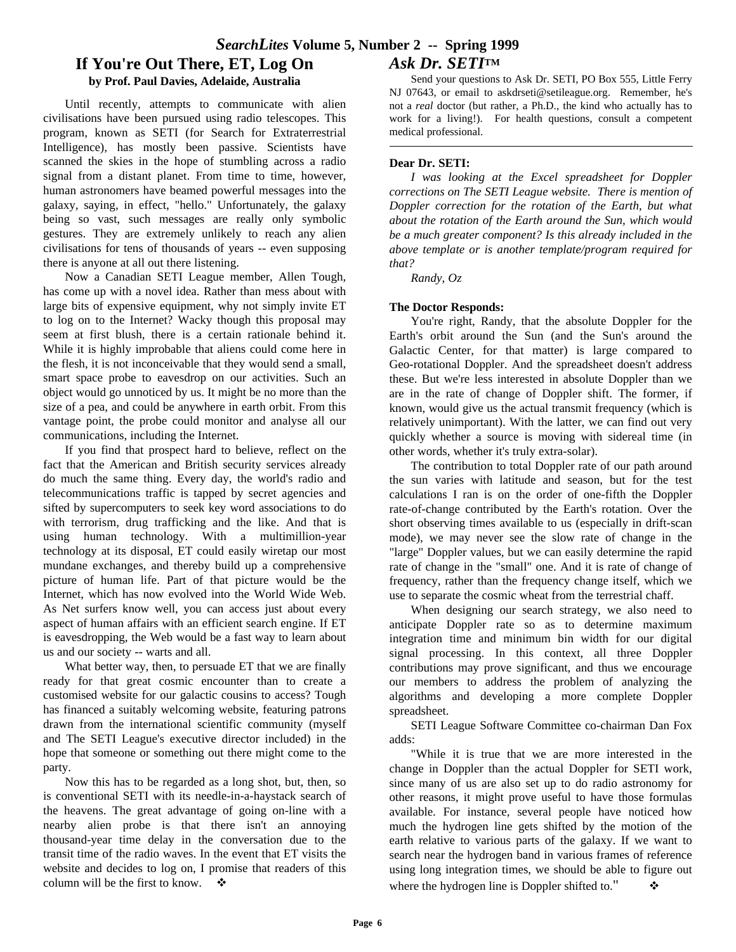Until recently, attempts to communicate with alien civilisations have been pursued using radio telescopes. This program, known as SETI (for Search for Extraterrestrial Intelligence), has mostly been passive. Scientists have scanned the skies in the hope of stumbling across a radio signal from a distant planet. From time to time, however, human astronomers have beamed powerful messages into the galaxy, saying, in effect, "hello." Unfortunately, the galaxy being so vast, such messages are really only symbolic gestures. They are extremely unlikely to reach any alien civilisations for tens of thousands of years -- even supposing there is anyone at all out there listening.

Now a Canadian SETI League member, Allen Tough, has come up with a novel idea. Rather than mess about with large bits of expensive equipment, why not simply invite ET to log on to the Internet? Wacky though this proposal may seem at first blush, there is a certain rationale behind it. While it is highly improbable that aliens could come here in the flesh, it is not inconceivable that they would send a small, smart space probe to eavesdrop on our activities. Such an object would go unnoticed by us. It might be no more than the size of a pea, and could be anywhere in earth orbit. From this vantage point, the probe could monitor and analyse all our communications, including the Internet.

If you find that prospect hard to believe, reflect on the fact that the American and British security services already do much the same thing. Every day, the world's radio and telecommunications traffic is tapped by secret agencies and sifted by supercomputers to seek key word associations to do with terrorism, drug trafficking and the like. And that is using human technology. With a multimillion-year technology at its disposal, ET could easily wiretap our most mundane exchanges, and thereby build up a comprehensive picture of human life. Part of that picture would be the Internet, which has now evolved into the World Wide Web. As Net surfers know well, you can access just about every aspect of human affairs with an efficient search engine. If ET is eavesdropping, the Web would be a fast way to learn about us and our society -- warts and all.

What better way, then, to persuade ET that we are finally ready for that great cosmic encounter than to create a customised website for our galactic cousins to access? Tough has financed a suitably welcoming website, featuring patrons drawn from the international scientific community (myself and The SETI League's executive director included) in the hope that someone or something out there might come to the party.

Now this has to be regarded as a long shot, but, then, so is conventional SETI with its needle-in-a-haystack search of the heavens. The great advantage of going on-line with a nearby alien probe is that there isn't an annoying thousand-year time delay in the conversation due to the transit time of the radio waves. In the event that ET visits the website and decides to log on, I promise that readers of this column will be the first to know.  $\bullet$ 

Send your questions to Ask Dr. SETI, PO Box 555, Little Ferry NJ 07643, or email to askdrseti@setileague.org. Remember, he's not a *real* doctor (but rather, a Ph.D., the kind who actually has to work for a living!). For health questions, consult a competent medical professional.

#### **Dear Dr. SETI:**

*I was looking at the Excel spreadsheet for Doppler corrections on The SETI League website. There is mention of Doppler correction for the rotation of the Earth, but what about the rotation of the Earth around the Sun, which would be a much greater component? Is this already included in the above template or is another template/program required for that?*

*Randy, Oz*

#### **The Doctor Responds:**

You're right, Randy, that the absolute Doppler for the Earth's orbit around the Sun (and the Sun's around the Galactic Center, for that matter) is large compared to Geo-rotational Doppler. And the spreadsheet doesn't address these. But we're less interested in absolute Doppler than we are in the rate of change of Doppler shift. The former, if known, would give us the actual transmit frequency (which is relatively unimportant). With the latter, we can find out very quickly whether a source is moving with sidereal time (in other words, whether it's truly extra-solar).

The contribution to total Doppler rate of our path around the sun varies with latitude and season, but for the test calculations I ran is on the order of one-fifth the Doppler rate-of-change contributed by the Earth's rotation. Over the short observing times available to us (especially in drift-scan mode), we may never see the slow rate of change in the "large" Doppler values, but we can easily determine the rapid rate of change in the "small" one. And it is rate of change of frequency, rather than the frequency change itself, which we use to separate the cosmic wheat from the terrestrial chaff.

When designing our search strategy, we also need to anticipate Doppler rate so as to determine maximum integration time and minimum bin width for our digital signal processing. In this context, all three Doppler contributions may prove significant, and thus we encourage our members to address the problem of analyzing the algorithms and developing a more complete Doppler spreadsheet.

SETI League Software Committee co-chairman Dan Fox adds:

"While it is true that we are more interested in the change in Doppler than the actual Doppler for SETI work, since many of us are also set up to do radio astronomy for other reasons, it might prove useful to have those formulas available. For instance, several people have noticed how much the hydrogen line gets shifted by the motion of the earth relative to various parts of the galaxy. If we want to search near the hydrogen band in various frames of reference using long integration times, we should be able to figure out where the hydrogen line is Doppler shifted to."  $\bullet$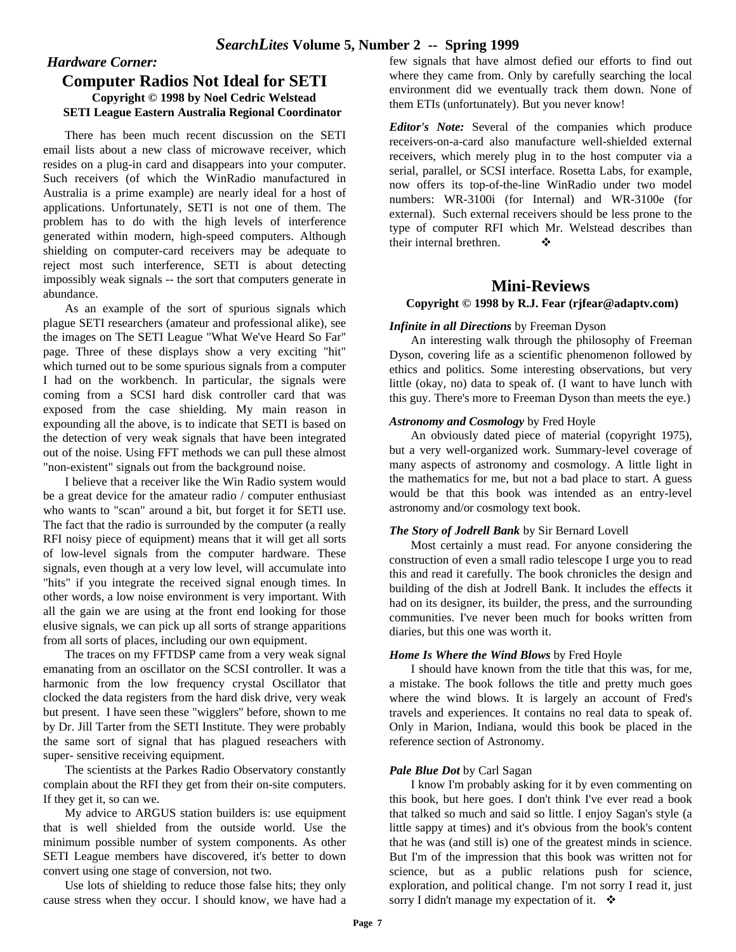#### *Hardware Corner:* **Computer Radios Not Ideal for SETI Copyright © 1998 by Noel Cedric Welstead SETI League Eastern Australia Regional Coordinator**

There has been much recent discussion on the SETI email lists about a new class of microwave receiver, which resides on a plug-in card and disappears into your computer. Such receivers (of which the WinRadio manufactured in Australia is a prime example) are nearly ideal for a host of applications. Unfortunately, SETI is not one of them. The problem has to do with the high levels of interference generated within modern, high-speed computers. Although shielding on computer-card receivers may be adequate to reject most such interference, SETI is about detecting impossibly weak signals -- the sort that computers generate in abundance.

As an example of the sort of spurious signals which plague SETI researchers (amateur and professional alike), see the images on The SETI League "What We've Heard So Far" page. Three of these displays show a very exciting "hit" which turned out to be some spurious signals from a computer I had on the workbench. In particular, the signals were coming from a SCSI hard disk controller card that was exposed from the case shielding. My main reason in expounding all the above, is to indicate that SETI is based on the detection of very weak signals that have been integrated out of the noise. Using FFT methods we can pull these almost "non-existent" signals out from the background noise.

I believe that a receiver like the Win Radio system would be a great device for the amateur radio / computer enthusiast who wants to "scan" around a bit, but forget it for SETI use. The fact that the radio is surrounded by the computer (a really RFI noisy piece of equipment) means that it will get all sorts of low-level signals from the computer hardware. These signals, even though at a very low level, will accumulate into "hits" if you integrate the received signal enough times. In other words, a low noise environment is very important. With all the gain we are using at the front end looking for those elusive signals, we can pick up all sorts of strange apparitions from all sorts of places, including our own equipment.

The traces on my FFTDSP came from a very weak signal emanating from an oscillator on the SCSI controller. It was a harmonic from the low frequency crystal Oscillator that clocked the data registers from the hard disk drive, very weak but present. I have seen these "wigglers" before, shown to me by Dr. Jill Tarter from the SETI Institute. They were probably the same sort of signal that has plagued reseachers with super- sensitive receiving equipment.

The scientists at the Parkes Radio Observatory constantly complain about the RFI they get from their on-site computers. If they get it, so can we.

My advice to ARGUS station builders is: use equipment that is well shielded from the outside world. Use the minimum possible number of system components. As other SETI League members have discovered, it's better to down convert using one stage of conversion, not two.

Use lots of shielding to reduce those false hits; they only cause stress when they occur. I should know, we have had a

few signals that have almost defied our efforts to find out where they came from. Only by carefully searching the local environment did we eventually track them down. None of them ETIs (unfortunately). But you never know!

*Editor's Note:* Several of the companies which produce receivers-on-a-card also manufacture well-shielded external receivers, which merely plug in to the host computer via a serial, parallel, or SCSI interface. Rosetta Labs, for example, now offers its top-of-the-line WinRadio under two model numbers: WR-3100i (for Internal) and WR-3100e (for external). Such external receivers should be less prone to the type of computer RFI which Mr. Welstead describes than their internal brethren.  $\bullet$ 

#### **Mini-Reviews Copyright © 1998 by R.J. Fear (rjfear@adaptv.com)**

#### *Infinite in all Directions* by Freeman Dyson

An interesting walk through the philosophy of Freeman Dyson, covering life as a scientific phenomenon followed by ethics and politics. Some interesting observations, but very little (okay, no) data to speak of. (I want to have lunch with this guy. There's more to Freeman Dyson than meets the eye.)

#### *Astronomy and Cosmology* by Fred Hoyle

An obviously dated piece of material (copyright 1975), but a very well-organized work. Summary-level coverage of many aspects of astronomy and cosmology. A little light in the mathematics for me, but not a bad place to start. A guess would be that this book was intended as an entry-level astronomy and/or cosmology text book.

#### *The Story of Jodrell Bank* by Sir Bernard Lovell

Most certainly a must read. For anyone considering the construction of even a small radio telescope I urge you to read this and read it carefully. The book chronicles the design and building of the dish at Jodrell Bank. It includes the effects it had on its designer, its builder, the press, and the surrounding communities. I've never been much for books written from diaries, but this one was worth it.

#### *Home Is Where the Wind Blows* by Fred Hoyle

I should have known from the title that this was, for me, a mistake. The book follows the title and pretty much goes where the wind blows. It is largely an account of Fred's travels and experiences. It contains no real data to speak of. Only in Marion, Indiana, would this book be placed in the reference section of Astronomy.

#### *Pale Blue Dot* by Carl Sagan

I know I'm probably asking for it by even commenting on this book, but here goes. I don't think I've ever read a book that talked so much and said so little. I enjoy Sagan's style (a little sappy at times) and it's obvious from the book's content that he was (and still is) one of the greatest minds in science. But I'm of the impression that this book was written not for science, but as a public relations push for science, exploration, and political change. I'm not sorry I read it, just sorry I didn't manage my expectation of it.  $\cdot$